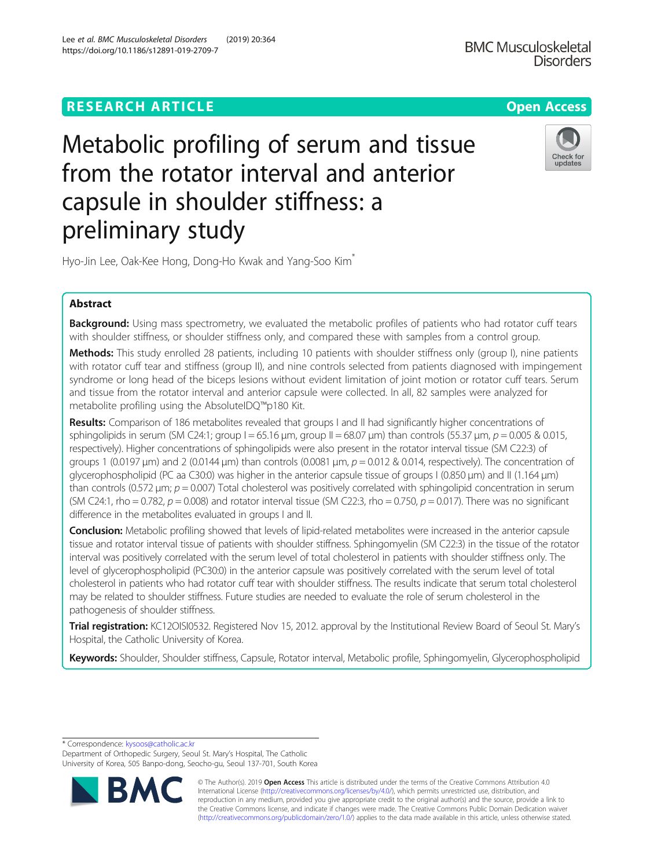# **RESEARCH ARTICLE Example 2014 12:30 The Open Access**

# Metabolic profiling of serum and tissue from the rotator interval and anterior capsule in shoulder stiffness: a preliminary study

Hyo-Jin Lee, Oak-Kee Hong, Dong-Ho Kwak and Yang-Soo Kim<sup>\*</sup>

# Abstract

**Background:** Using mass spectrometry, we evaluated the metabolic profiles of patients who had rotator cuff tears with shoulder stiffness, or shoulder stiffness only, and compared these with samples from a control group.

Methods: This study enrolled 28 patients, including 10 patients with shoulder stiffness only (group I), nine patients with rotator cuff tear and stiffness (group II), and nine controls selected from patients diagnosed with impingement syndrome or long head of the biceps lesions without evident limitation of joint motion or rotator cuff tears. Serum and tissue from the rotator interval and anterior capsule were collected. In all, 82 samples were analyzed for metabolite profiling using the AbsoluteIDQ™p180 Kit.

Results: Comparison of 186 metabolites revealed that groups I and II had significantly higher concentrations of sphingolipids in serum (SM C24:1; group  $I = 65.16$  μm, group  $II = 68.07$  μm) than controls (55.37 μm,  $p = 0.005$  & 0.015, respectively). Higher concentrations of sphingolipids were also present in the rotator interval tissue (SM C22:3) of groups 1 (0.0197  $\mu$ m) and 2 (0.0144  $\mu$ m) than controls (0.0081  $\mu$ m,  $p = 0.012$  & 0.014, respectively). The concentration of glycerophospholipid (PC aa C30:0) was higher in the anterior capsule tissue of groups I (0.850 μm) and II (1.164 μm) than controls (0.572  $\mu$ m;  $p = 0.007$ ) Total cholesterol was positively correlated with sphingolipid concentration in serum (SM C24:1, rho = 0.782,  $p = 0.008$ ) and rotator interval tissue (SM C22:3, rho = 0.750,  $p = 0.017$ ). There was no significant difference in the metabolites evaluated in groups I and II.

**Conclusion:** Metabolic profiling showed that levels of lipid-related metabolites were increased in the anterior capsule tissue and rotator interval tissue of patients with shoulder stiffness. Sphingomyelin (SM C22:3) in the tissue of the rotator interval was positively correlated with the serum level of total cholesterol in patients with shoulder stiffness only. The level of glycerophospholipid (PC30:0) in the anterior capsule was positively correlated with the serum level of total cholesterol in patients who had rotator cuff tear with shoulder stiffness. The results indicate that serum total cholesterol may be related to shoulder stiffness. Future studies are needed to evaluate the role of serum cholesterol in the pathogenesis of shoulder stiffness.

Trial registration: KC12OISI0532. Registered Nov 15, 2012. approval by the Institutional Review Board of Seoul St. Mary's Hospital, the Catholic University of Korea.

Keywords: Shoulder, Shoulder stiffness, Capsule, Rotator interval, Metabolic profile, Sphingomyelin, Glycerophospholipid

\* Correspondence: [kysoos@catholic.ac.kr](mailto:kysoos@catholic.ac.kr)

Department of Orthopedic Surgery, Seoul St. Mary's Hospital, The Catholic University of Korea, 505 Banpo-dong, Seocho-gu, Seoul 137-701, South Korea

> © The Author(s). 2019 **Open Access** This article is distributed under the terms of the Creative Commons Attribution 4.0 International License [\(http://creativecommons.org/licenses/by/4.0/](http://creativecommons.org/licenses/by/4.0/)), which permits unrestricted use, distribution, and reproduction in any medium, provided you give appropriate credit to the original author(s) and the source, provide a link to the Creative Commons license, and indicate if changes were made. The Creative Commons Public Domain Dedication waiver [\(http://creativecommons.org/publicdomain/zero/1.0/](http://creativecommons.org/publicdomain/zero/1.0/)) applies to the data made available in this article, unless otherwise stated.

Lee et al. BMC Musculoskeletal Disorders (2019) 20:364 https://doi.org/10.1186/s12891-019-2709-7





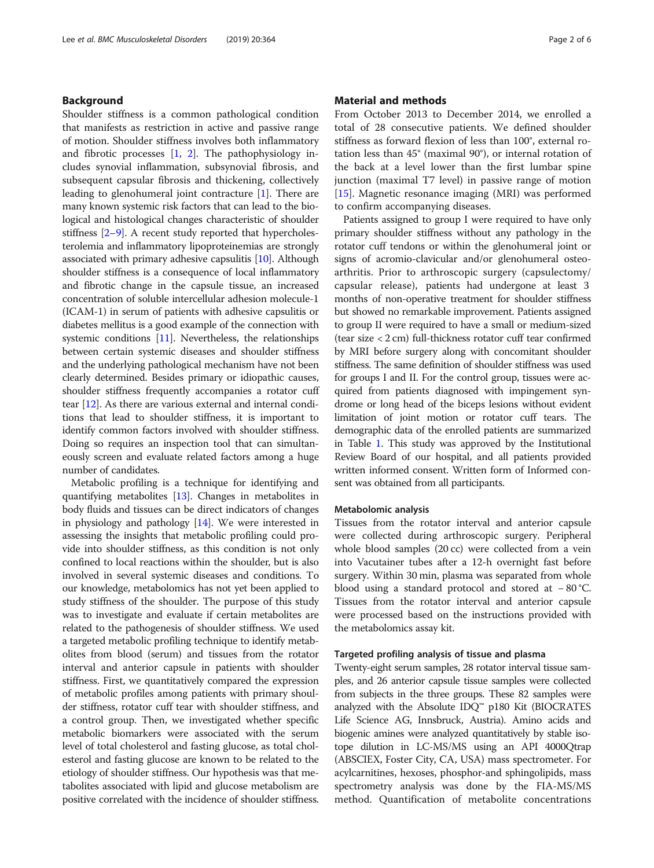# Background

Shoulder stiffness is a common pathological condition that manifests as restriction in active and passive range of motion. Shoulder stiffness involves both inflammatory and fibrotic processes [\[1](#page-5-0), [2\]](#page-5-0). The pathophysiology includes synovial inflammation, subsynovial fibrosis, and subsequent capsular fibrosis and thickening, collectively leading to glenohumeral joint contracture [\[1](#page-5-0)]. There are many known systemic risk factors that can lead to the biological and histological changes characteristic of shoulder stiffness [\[2](#page-5-0)–[9](#page-5-0)]. A recent study reported that hypercholesterolemia and inflammatory lipoproteinemias are strongly associated with primary adhesive capsulitis [\[10\]](#page-5-0). Although shoulder stiffness is a consequence of local inflammatory and fibrotic change in the capsule tissue, an increased concentration of soluble intercellular adhesion molecule-1 (ICAM-1) in serum of patients with adhesive capsulitis or diabetes mellitus is a good example of the connection with systemic conditions [\[11\]](#page-5-0). Nevertheless, the relationships between certain systemic diseases and shoulder stiffness and the underlying pathological mechanism have not been clearly determined. Besides primary or idiopathic causes, shoulder stiffness frequently accompanies a rotator cuff tear [[12](#page-5-0)]. As there are various external and internal conditions that lead to shoulder stiffness, it is important to identify common factors involved with shoulder stiffness. Doing so requires an inspection tool that can simultaneously screen and evaluate related factors among a huge number of candidates.

Metabolic profiling is a technique for identifying and quantifying metabolites [\[13](#page-5-0)]. Changes in metabolites in body fluids and tissues can be direct indicators of changes in physiology and pathology [[14](#page-5-0)]. We were interested in assessing the insights that metabolic profiling could provide into shoulder stiffness, as this condition is not only confined to local reactions within the shoulder, but is also involved in several systemic diseases and conditions. To our knowledge, metabolomics has not yet been applied to study stiffness of the shoulder. The purpose of this study was to investigate and evaluate if certain metabolites are related to the pathogenesis of shoulder stiffness. We used a targeted metabolic profiling technique to identify metabolites from blood (serum) and tissues from the rotator interval and anterior capsule in patients with shoulder stiffness. First, we quantitatively compared the expression of metabolic profiles among patients with primary shoulder stiffness, rotator cuff tear with shoulder stiffness, and a control group. Then, we investigated whether specific metabolic biomarkers were associated with the serum level of total cholesterol and fasting glucose, as total cholesterol and fasting glucose are known to be related to the etiology of shoulder stiffness. Our hypothesis was that metabolites associated with lipid and glucose metabolism are positive correlated with the incidence of shoulder stiffness.

# Material and methods

From October 2013 to December 2014, we enrolled a total of 28 consecutive patients. We defined shoulder stiffness as forward flexion of less than 100°, external rotation less than 45° (maximal 90°), or internal rotation of the back at a level lower than the first lumbar spine junction (maximal T7 level) in passive range of motion [[15\]](#page-5-0). Magnetic resonance imaging (MRI) was performed to confirm accompanying diseases.

Patients assigned to group I were required to have only primary shoulder stiffness without any pathology in the rotator cuff tendons or within the glenohumeral joint or signs of acromio-clavicular and/or glenohumeral osteoarthritis. Prior to arthroscopic surgery (capsulectomy/ capsular release), patients had undergone at least 3 months of non-operative treatment for shoulder stiffness but showed no remarkable improvement. Patients assigned to group II were required to have a small or medium-sized (tear size < 2 cm) full-thickness rotator cuff tear confirmed by MRI before surgery along with concomitant shoulder stiffness. The same definition of shoulder stiffness was used for groups I and II. For the control group, tissues were acquired from patients diagnosed with impingement syndrome or long head of the biceps lesions without evident limitation of joint motion or rotator cuff tears. The demographic data of the enrolled patients are summarized in Table [1](#page-2-0). This study was approved by the Institutional Review Board of our hospital, and all patients provided written informed consent. Written form of Informed consent was obtained from all participants.

# Metabolomic analysis

Tissues from the rotator interval and anterior capsule were collected during arthroscopic surgery. Peripheral whole blood samples (20 cc) were collected from a vein into Vacutainer tubes after a 12-h overnight fast before surgery. Within 30 min, plasma was separated from whole blood using a standard protocol and stored at − 80 °C. Tissues from the rotator interval and anterior capsule were processed based on the instructions provided with the metabolomics assay kit.

## Targeted profiling analysis of tissue and plasma

Twenty-eight serum samples, 28 rotator interval tissue samples, and 26 anterior capsule tissue samples were collected from subjects in the three groups. These 82 samples were analyzed with the Absolute  $IDQ^M$  p180 Kit (BIOCRATES Life Science AG, Innsbruck, Austria). Amino acids and biogenic amines were analyzed quantitatively by stable isotope dilution in LC-MS/MS using an API 4000Qtrap (ABSCIEX, Foster City, CA, USA) mass spectrometer. For acylcarnitines, hexoses, phosphor-and sphingolipids, mass spectrometry analysis was done by the FIA-MS/MS method. Quantification of metabolite concentrations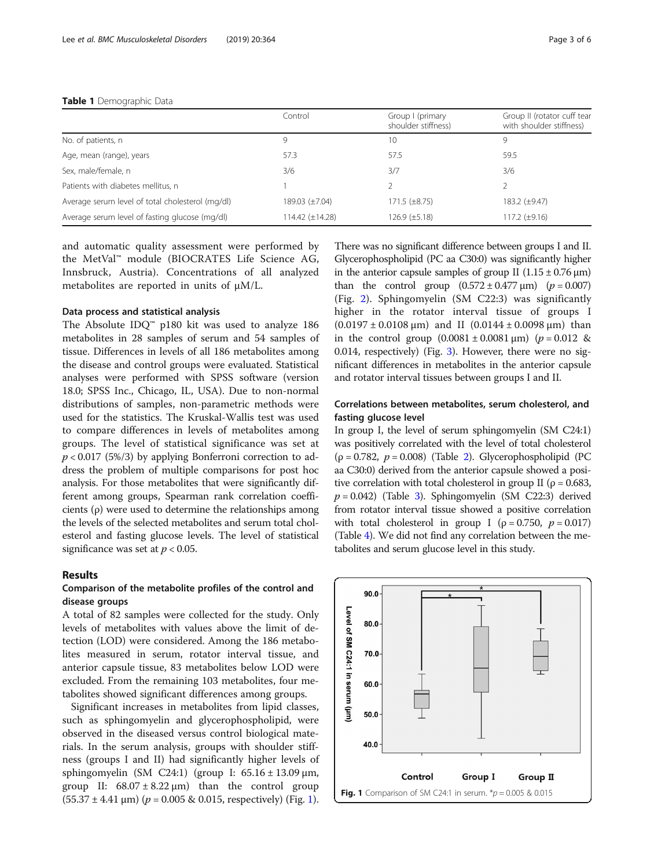#### <span id="page-2-0"></span>Table 1 Demographic Data

|                                                  | Control         | Group I (primary<br>shoulder stiffness) | Group II (rotator cuff tear<br>with shoulder stiffness) |
|--------------------------------------------------|-----------------|-----------------------------------------|---------------------------------------------------------|
| No. of patients, n                               | 9               | 10                                      | 9                                                       |
| Age, mean (range), years                         | 57.3            | 57.5                                    | 59.5                                                    |
| Sex, male/female, n                              | 3/6             | 3/7                                     | 3/6                                                     |
| Patients with diabetes mellitus, n               |                 |                                         |                                                         |
| Average serum level of total cholesterol (mg/dl) | 189.03 (±7.04)  | $171.5 \ (\pm 8.75)$                    | 183.2 (±9.47)                                           |
| Average serum level of fasting glucose (mg/dl)   | 114.42 (±14.28) | 126.9 (±5.18)                           | 117.2 $(\pm 9.16)$                                      |

and automatic quality assessment were performed by the MetVal™ module (BIOCRATES Life Science AG, Innsbruck, Austria). Concentrations of all analyzed metabolites are reported in units of μM/L.

# Data process and statistical analysis

The Absolute IDQ™ p180 kit was used to analyze 186 metabolites in 28 samples of serum and 54 samples of tissue. Differences in levels of all 186 metabolites among the disease and control groups were evaluated. Statistical analyses were performed with SPSS software (version 18.0; SPSS Inc., Chicago, IL, USA). Due to non-normal distributions of samples, non-parametric methods were used for the statistics. The Kruskal-Wallis test was used to compare differences in levels of metabolites among groups. The level of statistical significance was set at  $p < 0.017$  (5%/3) by applying Bonferroni correction to address the problem of multiple comparisons for post hoc analysis. For those metabolites that were significantly different among groups, Spearman rank correlation coefficients (ρ) were used to determine the relationships among the levels of the selected metabolites and serum total cholesterol and fasting glucose levels. The level of statistical significance was set at  $p < 0.05$ .

#### Results

# Comparison of the metabolite profiles of the control and disease groups

A total of 82 samples were collected for the study. Only levels of metabolites with values above the limit of detection (LOD) were considered. Among the 186 metabolites measured in serum, rotator interval tissue, and anterior capsule tissue, 83 metabolites below LOD were excluded. From the remaining 103 metabolites, four metabolites showed significant differences among groups.

Significant increases in metabolites from lipid classes, such as sphingomyelin and glycerophospholipid, were observed in the diseased versus control biological materials. In the serum analysis, groups with shoulder stiffness (groups I and II) had significantly higher levels of sphingomyelin (SM C24:1) (group I: 65.16 ± 13.09 μm, group II:  $68.07 \pm 8.22 \,\mu m$ ) than the control group  $(55.37 \pm 4.41 \,\mu m)$  ( $p = 0.005 \& 0.015$ , respectively) (Fig. 1).

There was no significant difference between groups I and II. Glycerophospholipid (PC aa C30:0) was significantly higher in the anterior capsule samples of group II  $(1.15 \pm 0.76 \,\mu m)$ than the control group  $(0.572 \pm 0.477 \,\text{\mu m})$   $(p = 0.007)$ (Fig. [2](#page-3-0)). Sphingomyelin (SM C22:3) was significantly higher in the rotator interval tissue of groups I  $(0.0197 \pm 0.0108 \,\mu m)$  and II  $(0.0144 \pm 0.0098 \,\mu m)$  than in the control group  $(0.0081 \pm 0.0081 \,\text{\mu m})$   $(p = 0.012 \,\text{&})$ 0.014, respectively) (Fig. [3\)](#page-3-0). However, there were no significant differences in metabolites in the anterior capsule and rotator interval tissues between groups I and II.

# Correlations between metabolites, serum cholesterol, and fasting glucose level

In group I, the level of serum sphingomyelin (SM C24:1) was positively correlated with the level of total cholesterol  $(p = 0.782, p = 0.008)$  (Table [2\)](#page-3-0). Glycerophospholipid (PC) aa C30:0) derived from the anterior capsule showed a positive correlation with total cholesterol in group II ( $\rho = 0.683$ ,  $p = 0.042$ ) (Table [3\)](#page-3-0). Sphingomyelin (SM C22:3) derived from rotator interval tissue showed a positive correlation with total cholesterol in group I ( $\rho = 0.750$ ,  $p = 0.017$ ) (Table [4\)](#page-4-0). We did not find any correlation between the metabolites and serum glucose level in this study.

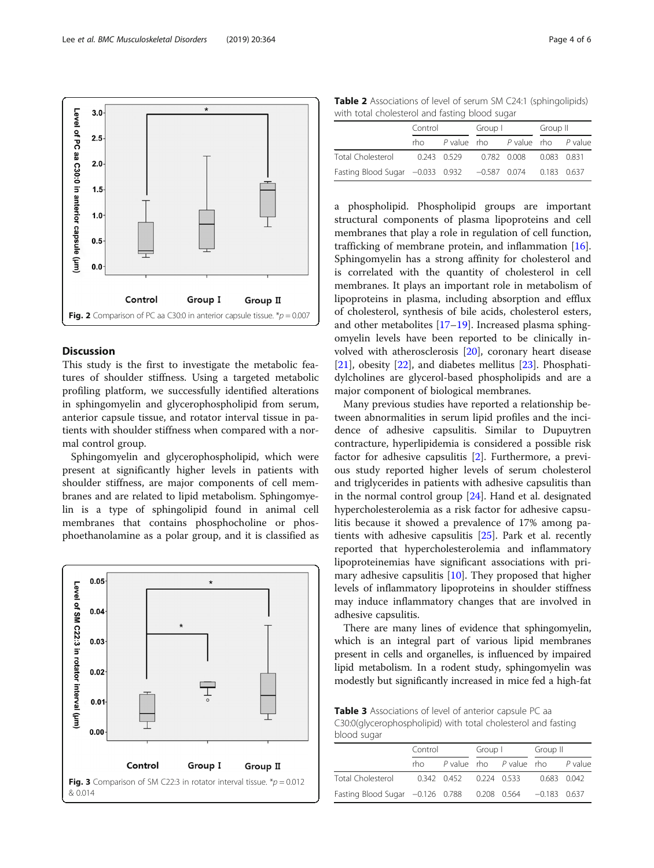This study is the first to investigate the metabolic features of shoulder stiffness. Using a targeted metabolic profiling platform, we successfully identified alterations in sphingomyelin and glycerophospholipid from serum, anterior capsule tissue, and rotator interval tissue in patients with shoulder stiffness when compared with a normal control group.

Fig. 2 Comparison of PC aa C30:0 in anterior capsule tissue.  $p = 0.007$ 

Group I

Group II

Discussion

<span id="page-3-0"></span>Level of PC aa C30:0 in anterior capsule (um

 $3.0$ 

 $2.5$ 

 $2.0$ 

 $1.5$ 

 $1.0$ 

 $0.5$ 

 $0.0$ 

Control

Sphingomyelin and glycerophospholipid, which were present at significantly higher levels in patients with shoulder stiffness, are major components of cell membranes and are related to lipid metabolism. Sphingomyelin is a type of sphingolipid found in animal cell membranes that contains phosphocholine or phosphoethanolamine as a polar group, and it is classified as



Fig. 3 Comparison of SM C22:3 in rotator interval tissue. \* $p = 0.012$ & 0.014

| <b>Table 2</b> Associations of level of serum SM C24:1 (sphingolipids) |  |
|------------------------------------------------------------------------|--|
| with total cholesterol and fasting blood sugar                         |  |

|                                                           | Control |             | Group I |                         | Group II |  |
|-----------------------------------------------------------|---------|-------------|---------|-------------------------|----------|--|
|                                                           | rho.    | P value rho |         | P value rho P value     |          |  |
| Total Cholesterol                                         |         | 0.243 0.529 |         | 0.782 0.008 0.083 0.831 |          |  |
| Fasting Blood Sugar -0.033 0.932 -0.587 0.074 0.183 0.637 |         |             |         |                         |          |  |

a phospholipid. Phospholipid groups are important structural components of plasma lipoproteins and cell membranes that play a role in regulation of cell function, trafficking of membrane protein, and inflammation [\[16](#page-5-0)]. Sphingomyelin has a strong affinity for cholesterol and is correlated with the quantity of cholesterol in cell membranes. It plays an important role in metabolism of lipoproteins in plasma, including absorption and efflux of cholesterol, synthesis of bile acids, cholesterol esters, and other metabolites [\[17](#page-5-0)–[19\]](#page-5-0). Increased plasma sphingomyelin levels have been reported to be clinically involved with atherosclerosis [[20\]](#page-5-0), coronary heart disease [[21\]](#page-5-0), obesity [\[22\]](#page-5-0), and diabetes mellitus [[23\]](#page-5-0). Phosphatidylcholines are glycerol-based phospholipids and are a major component of biological membranes.

Many previous studies have reported a relationship between abnormalities in serum lipid profiles and the incidence of adhesive capsulitis. Similar to Dupuytren contracture, hyperlipidemia is considered a possible risk factor for adhesive capsulitis [[2\]](#page-5-0). Furthermore, a previous study reported higher levels of serum cholesterol and triglycerides in patients with adhesive capsulitis than in the normal control group [[24\]](#page-5-0). Hand et al. designated hypercholesterolemia as a risk factor for adhesive capsulitis because it showed a prevalence of 17% among patients with adhesive capsulitis [\[25](#page-5-0)]. Park et al. recently reported that hypercholesterolemia and inflammatory lipoproteinemias have significant associations with primary adhesive capsulitis [\[10](#page-5-0)]. They proposed that higher levels of inflammatory lipoproteins in shoulder stiffness may induce inflammatory changes that are involved in adhesive capsulitis.

There are many lines of evidence that sphingomyelin, which is an integral part of various lipid membranes present in cells and organelles, is influenced by impaired lipid metabolism. In a rodent study, sphingomyelin was modestly but significantly increased in mice fed a high-fat

Table 3 Associations of level of anterior capsule PC aa C30:0(glycerophospholipid) with total cholesterol and fasting blood sugar

|                                                           | Control |  | Group I |                                     | Group II |         |
|-----------------------------------------------------------|---------|--|---------|-------------------------------------|----------|---------|
|                                                           | rho –   |  |         | P value rho P value rho             |          | P value |
| Total Cholesterol                                         |         |  |         | 0.342 0.452 0.224 0.533 0.683 0.042 |          |         |
| Fasting Blood Sugar -0.126 0.788 0.208 0.564 -0.183 0.637 |         |  |         |                                     |          |         |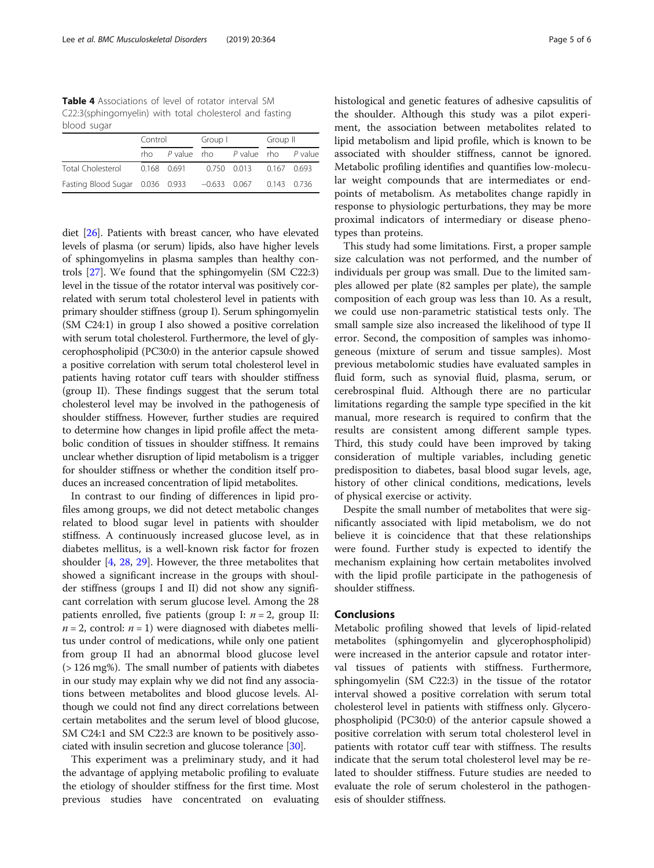<span id="page-4-0"></span>Table 4 Associations of level of rotator interval SM C22:3(sphingomyelin) with total cholesterol and fasting blood sugar

|                                                             | Control |                                     | Group I |  | Group II |  |
|-------------------------------------------------------------|---------|-------------------------------------|---------|--|----------|--|
|                                                             |         | rho P value rho P value rho P value |         |  |          |  |
| Total Cholesterol  0.168  0.691  0.750  0.013  0.167  0.693 |         |                                     |         |  |          |  |
| Fasting Blood Sugar 0.036 0.933 -0.633 0.067 0.143 0.736    |         |                                     |         |  |          |  |

diet [[26](#page-5-0)]. Patients with breast cancer, who have elevated levels of plasma (or serum) lipids, also have higher levels of sphingomyelins in plasma samples than healthy controls [\[27](#page-5-0)]. We found that the sphingomyelin (SM C22:3) level in the tissue of the rotator interval was positively correlated with serum total cholesterol level in patients with primary shoulder stiffness (group I). Serum sphingomyelin (SM C24:1) in group I also showed a positive correlation with serum total cholesterol. Furthermore, the level of glycerophospholipid (PC30:0) in the anterior capsule showed a positive correlation with serum total cholesterol level in patients having rotator cuff tears with shoulder stiffness (group II). These findings suggest that the serum total cholesterol level may be involved in the pathogenesis of shoulder stiffness. However, further studies are required to determine how changes in lipid profile affect the metabolic condition of tissues in shoulder stiffness. It remains unclear whether disruption of lipid metabolism is a trigger for shoulder stiffness or whether the condition itself produces an increased concentration of lipid metabolites.

In contrast to our finding of differences in lipid profiles among groups, we did not detect metabolic changes related to blood sugar level in patients with shoulder stiffness. A continuously increased glucose level, as in diabetes mellitus, is a well-known risk factor for frozen shoulder [[4](#page-5-0), [28,](#page-5-0) [29\]](#page-5-0). However, the three metabolites that showed a significant increase in the groups with shoulder stiffness (groups I and II) did not show any significant correlation with serum glucose level. Among the 28 patients enrolled, five patients (group I:  $n = 2$ , group II:  $n = 2$ , control:  $n = 1$ ) were diagnosed with diabetes mellitus under control of medications, while only one patient from group II had an abnormal blood glucose level (> 126 mg%). The small number of patients with diabetes in our study may explain why we did not find any associations between metabolites and blood glucose levels. Although we could not find any direct correlations between certain metabolites and the serum level of blood glucose, SM C24:1 and SM C22:3 are known to be positively associated with insulin secretion and glucose tolerance [[30](#page-5-0)].

This experiment was a preliminary study, and it had the advantage of applying metabolic profiling to evaluate the etiology of shoulder stiffness for the first time. Most previous studies have concentrated on evaluating histological and genetic features of adhesive capsulitis of the shoulder. Although this study was a pilot experiment, the association between metabolites related to lipid metabolism and lipid profile, which is known to be associated with shoulder stiffness, cannot be ignored. Metabolic profiling identifies and quantifies low-molecular weight compounds that are intermediates or endpoints of metabolism. As metabolites change rapidly in response to physiologic perturbations, they may be more proximal indicators of intermediary or disease phenotypes than proteins.

This study had some limitations. First, a proper sample size calculation was not performed, and the number of individuals per group was small. Due to the limited samples allowed per plate (82 samples per plate), the sample composition of each group was less than 10. As a result, we could use non-parametric statistical tests only. The small sample size also increased the likelihood of type II error. Second, the composition of samples was inhomogeneous (mixture of serum and tissue samples). Most previous metabolomic studies have evaluated samples in fluid form, such as synovial fluid, plasma, serum, or cerebrospinal fluid. Although there are no particular limitations regarding the sample type specified in the kit manual, more research is required to confirm that the results are consistent among different sample types. Third, this study could have been improved by taking consideration of multiple variables, including genetic predisposition to diabetes, basal blood sugar levels, age, history of other clinical conditions, medications, levels of physical exercise or activity.

Despite the small number of metabolites that were significantly associated with lipid metabolism, we do not believe it is coincidence that that these relationships were found. Further study is expected to identify the mechanism explaining how certain metabolites involved with the lipid profile participate in the pathogenesis of shoulder stiffness.

# Conclusions

Metabolic profiling showed that levels of lipid-related metabolites (sphingomyelin and glycerophospholipid) were increased in the anterior capsule and rotator interval tissues of patients with stiffness. Furthermore, sphingomyelin (SM C22:3) in the tissue of the rotator interval showed a positive correlation with serum total cholesterol level in patients with stiffness only. Glycerophospholipid (PC30:0) of the anterior capsule showed a positive correlation with serum total cholesterol level in patients with rotator cuff tear with stiffness. The results indicate that the serum total cholesterol level may be related to shoulder stiffness. Future studies are needed to evaluate the role of serum cholesterol in the pathogenesis of shoulder stiffness.